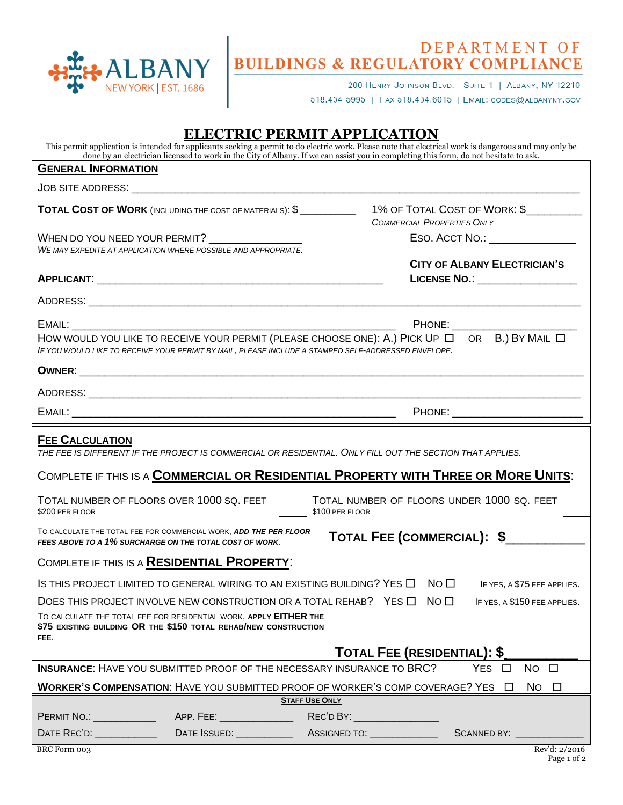

## DEPARTMENT OF BUILDINGS & REGULATORY COMPLIANCE

200 HENRY JOHNSON BLVD.-SUITE 1 | ALBANY, NY 12210

518.434-5995 | FAX 518.434.6015 | EMAIL: CODES@ALBANYNY.GOV

## **ELECTRIC PERMIT APPLICATION**

This permit application is intended for applicants seeking a permit to do electric work. Please note that electrical work is dangerous and may only be done by an electrician licensed to work in the City of Albany. If we can assist you in completing this form, do not hesitate to ask.

| <b>GENERAL INFORMATION</b>                                                                                                                                                                                                |                                                                                                                                       |                                                                                                                                                                                                                          |  |
|---------------------------------------------------------------------------------------------------------------------------------------------------------------------------------------------------------------------------|---------------------------------------------------------------------------------------------------------------------------------------|--------------------------------------------------------------------------------------------------------------------------------------------------------------------------------------------------------------------------|--|
|                                                                                                                                                                                                                           |                                                                                                                                       |                                                                                                                                                                                                                          |  |
|                                                                                                                                                                                                                           | TOTAL COST OF WORK (INCLUDING THE COST OF MATERIALS): \$                                                                              | 1% OF TOTAL COST OF WORK: \$<br><b>COMMERCIAL PROPERTIES ONLY</b>                                                                                                                                                        |  |
| WHEN DO YOU NEED YOUR PERMIT?                                                                                                                                                                                             | WE MAY EXPEDITE AT APPLICATION WHERE POSSIBLE AND APPROPRIATE.                                                                        | ESO. ACCT NO.: _______________                                                                                                                                                                                           |  |
|                                                                                                                                                                                                                           |                                                                                                                                       | <b>CITY OF ALBANY ELECTRICIAN'S</b><br>LICENSE NO.: __________________                                                                                                                                                   |  |
|                                                                                                                                                                                                                           |                                                                                                                                       |                                                                                                                                                                                                                          |  |
| EMAIL:                                                                                                                                                                                                                    |                                                                                                                                       | PHONE:<br>HOW WOULD YOU LIKE TO RECEIVE YOUR PERMIT (PLEASE CHOOSE ONE): A.) PICK UP $\Box$ OR B.) BY MAIL $\Box$<br>IF YOU WOULD LIKE TO RECEIVE YOUR PERMIT BY MAIL, PLEASE INCLUDE A STAMPED SELF-ADDRESSED ENVELOPE. |  |
|                                                                                                                                                                                                                           |                                                                                                                                       |                                                                                                                                                                                                                          |  |
|                                                                                                                                                                                                                           |                                                                                                                                       |                                                                                                                                                                                                                          |  |
|                                                                                                                                                                                                                           |                                                                                                                                       | PHONE: ______________________________                                                                                                                                                                                    |  |
| <b>FEE CALCULATION</b><br>THE FEE IS DIFFERENT IF THE PROJECT IS COMMERCIAL OR RESIDENTIAL. ONLY FILL OUT THE SECTION THAT APPLIES.<br>COMPLETE IF THIS IS A COMMERCIAL OR RESIDENTIAL PROPERTY WITH THREE OR MORE UNITS: |                                                                                                                                       |                                                                                                                                                                                                                          |  |
| TOTAL NUMBER OF FLOORS OVER 1000 SQ. FEET<br>\$200 PER FLOOR                                                                                                                                                              |                                                                                                                                       | TOTAL NUMBER OF FLOORS UNDER 1000 SQ. FEET<br>\$100 PER FLOOR                                                                                                                                                            |  |
| FEES ABOVE TO A 1% SURCHARGE ON THE TOTAL COST OF WORK.                                                                                                                                                                   | TO CALCULATE THE TOTAL FEE FOR COMMERCIAL WORK, ADD THE PER FLOOR                                                                     | TOTAL FEE (COMMERCIAL): \$                                                                                                                                                                                               |  |
| COMPLETE IF THIS IS A RESIDENTIAL PROPERTY:                                                                                                                                                                               |                                                                                                                                       |                                                                                                                                                                                                                          |  |
| IS THIS PROJECT LIMITED TO GENERAL WIRING TO AN EXISTING BUILDING? YES □<br>NO <sub>1</sub><br>IF YES, A \$75 FEE APPLIES.                                                                                                |                                                                                                                                       |                                                                                                                                                                                                                          |  |
| NO <sub>1</sub><br>DOES THIS PROJECT INVOLVE NEW CONSTRUCTION OR A TOTAL REHAB? YES $\Box$<br>IF YES, A \$150 FEE APPLIES.                                                                                                |                                                                                                                                       |                                                                                                                                                                                                                          |  |
| FEE.                                                                                                                                                                                                                      | TO CALCULATE THE TOTAL FEE FOR RESIDENTIAL WORK, APPLY EITHER THE<br>\$75 EXISTING BUILDING OR THE \$150 TOTAL REHAB/NEW CONSTRUCTION | TOTAL FEE (RESIDENTIAL): \$                                                                                                                                                                                              |  |
|                                                                                                                                                                                                                           | <b>INSURANCE:</b> HAVE YOU SUBMITTED PROOF OF THE NECESSARY INSURANCE TO BRC?                                                         | YES $\Box$<br>$NO$ $\Box$                                                                                                                                                                                                |  |
| WORKER'S COMPENSATION: HAVE YOU SUBMITTED PROOF OF WORKER'S COMP COVERAGE? YES $\square$<br>$No$ $\Box$                                                                                                                   |                                                                                                                                       |                                                                                                                                                                                                                          |  |
| <b>STAFF USE ONLY</b>                                                                                                                                                                                                     |                                                                                                                                       |                                                                                                                                                                                                                          |  |
| <b>PERMIT NO.: _______________</b>                                                                                                                                                                                        |                                                                                                                                       |                                                                                                                                                                                                                          |  |
| DATE REC'D: ________________                                                                                                                                                                                              |                                                                                                                                       | SCANNED BY: ______________                                                                                                                                                                                               |  |